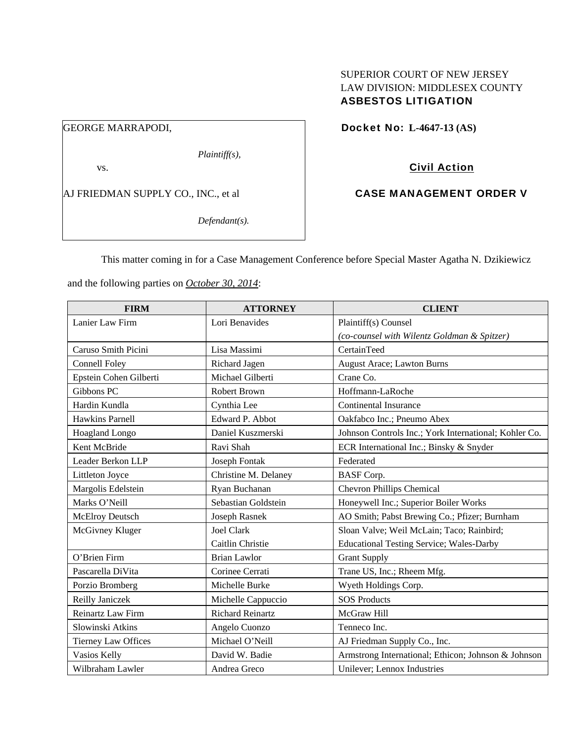# SUPERIOR COURT OF NEW JERSEY LAW DIVISION: MIDDLESEX COUNTY ASBESTOS LITIGATION

GEORGE MARRAPODI,

*Plaintiff(s),* 

vs.

AJ FRIEDMAN SUPPLY CO., INC., et al

*Defendant(s).* 

Docket No: **L-4647-13 (AS)** 

# Civil Action

# CASE MANAGEMENT ORDER V

This matter coming in for a Case Management Conference before Special Master Agatha N. Dzikiewicz

and the following parties on *October 30, 2014*:

| <b>FIRM</b>                | <b>ATTORNEY</b>         | <b>CLIENT</b>                                         |  |  |  |
|----------------------------|-------------------------|-------------------------------------------------------|--|--|--|
| Lanier Law Firm            | Lori Benavides          | Plaintiff(s) Counsel                                  |  |  |  |
|                            |                         | (co-counsel with Wilentz Goldman & Spitzer)           |  |  |  |
| Caruso Smith Picini        | Lisa Massimi            | CertainTeed                                           |  |  |  |
| <b>Connell Foley</b>       | Richard Jagen           | <b>August Arace; Lawton Burns</b>                     |  |  |  |
| Epstein Cohen Gilberti     | Michael Gilberti        | Crane Co.                                             |  |  |  |
| Gibbons PC                 | Robert Brown            | Hoffmann-LaRoche                                      |  |  |  |
| Hardin Kundla              | Cynthia Lee             | <b>Continental Insurance</b>                          |  |  |  |
| <b>Hawkins Parnell</b>     | Edward P. Abbot         | Oakfabco Inc.; Pneumo Abex                            |  |  |  |
| Hoagland Longo             | Daniel Kuszmerski       | Johnson Controls Inc.; York International; Kohler Co. |  |  |  |
| Kent McBride               | Ravi Shah               | ECR International Inc.; Binsky & Snyder               |  |  |  |
| Leader Berkon LLP          | Joseph Fontak           | Federated                                             |  |  |  |
| Littleton Joyce            | Christine M. Delaney    | <b>BASF</b> Corp.                                     |  |  |  |
| Margolis Edelstein         | Ryan Buchanan           | <b>Chevron Phillips Chemical</b>                      |  |  |  |
| Marks O'Neill              | Sebastian Goldstein     | Honeywell Inc.; Superior Boiler Works                 |  |  |  |
| <b>McElroy Deutsch</b>     | Joseph Rasnek           | AO Smith; Pabst Brewing Co.; Pfizer; Burnham          |  |  |  |
| McGivney Kluger            | Joel Clark              | Sloan Valve; Weil McLain; Taco; Rainbird;             |  |  |  |
|                            | Caitlin Christie        | <b>Educational Testing Service; Wales-Darby</b>       |  |  |  |
| O'Brien Firm               | <b>Brian Lawlor</b>     | <b>Grant Supply</b>                                   |  |  |  |
| Pascarella DiVita          | Corinee Cerrati         | Trane US, Inc.; Rheem Mfg.                            |  |  |  |
| Porzio Bromberg            | Michelle Burke          | Wyeth Holdings Corp.                                  |  |  |  |
| Reilly Janiczek            | Michelle Cappuccio      | <b>SOS Products</b>                                   |  |  |  |
| Reinartz Law Firm          | <b>Richard Reinartz</b> | McGraw Hill                                           |  |  |  |
| Slowinski Atkins           | Angelo Cuonzo           | Tenneco Inc.                                          |  |  |  |
| <b>Tierney Law Offices</b> | Michael O'Neill         | AJ Friedman Supply Co., Inc.                          |  |  |  |
| Vasios Kelly               | David W. Badie          | Armstrong International; Ethicon; Johnson & Johnson   |  |  |  |
| Wilbraham Lawler           | Andrea Greco            | Unilever; Lennox Industries                           |  |  |  |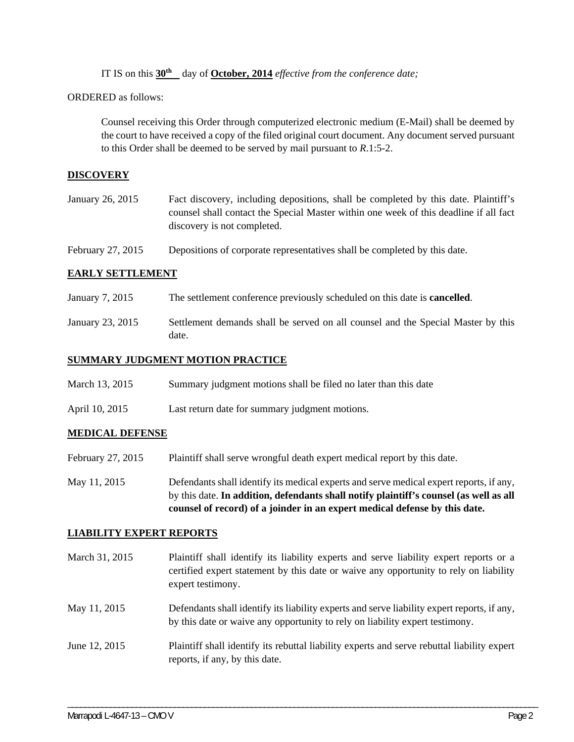IT IS on this  $30^{\text{th}}$  day of October, 2014 *effective from the conference date;* 

ORDERED as follows:

Counsel receiving this Order through computerized electronic medium (E-Mail) shall be deemed by the court to have received a copy of the filed original court document. Any document served pursuant to this Order shall be deemed to be served by mail pursuant to *R*.1:5-2.

### **DISCOVERY**

| Fact discovery, including depositions, shall be completed by this date. Plaintiff's   |
|---------------------------------------------------------------------------------------|
| counsel shall contact the Special Master within one week of this deadline if all fact |
| discovery is not completed.                                                           |
|                                                                                       |

February 27, 2015 Depositions of corporate representatives shall be completed by this date.

### **EARLY SETTLEMENT**

- January 7, 2015 The settlement conference previously scheduled on this date is **cancelled**.
- January 23, 2015 Settlement demands shall be served on all counsel and the Special Master by this date.

#### **SUMMARY JUDGMENT MOTION PRACTICE**

| March 13, 2015 | Summary judgment motions shall be filed no later than this date |  |  |  |
|----------------|-----------------------------------------------------------------|--|--|--|
|                |                                                                 |  |  |  |

April 10, 2015 Last return date for summary judgment motions.

### **MEDICAL DEFENSE**

- February 27, 2015 Plaintiff shall serve wrongful death expert medical report by this date.
- May 11, 2015 Defendants shall identify its medical experts and serve medical expert reports, if any, by this date. **In addition, defendants shall notify plaintiff's counsel (as well as all counsel of record) of a joinder in an expert medical defense by this date.**

#### **LIABILITY EXPERT REPORTS**

| March 31, 2015 | Plaintiff shall identify its liability experts and serve liability expert reports or a<br>certified expert statement by this date or waive any opportunity to rely on liability<br>expert testimony. |
|----------------|------------------------------------------------------------------------------------------------------------------------------------------------------------------------------------------------------|
| May 11, 2015   | Defendants shall identify its liability experts and serve liability expert reports, if any,<br>by this date or waive any opportunity to rely on liability expert testimony.                          |
| June 12, 2015  | Plaintiff shall identify its rebuttal liability experts and serve rebuttal liability expert<br>reports, if any, by this date.                                                                        |

\_\_\_\_\_\_\_\_\_\_\_\_\_\_\_\_\_\_\_\_\_\_\_\_\_\_\_\_\_\_\_\_\_\_\_\_\_\_\_\_\_\_\_\_\_\_\_\_\_\_\_\_\_\_\_\_\_\_\_\_\_\_\_\_\_\_\_\_\_\_\_\_\_\_\_\_\_\_\_\_\_\_\_\_\_\_\_\_\_\_\_\_\_\_\_\_\_\_\_\_\_\_\_\_\_\_\_\_\_\_